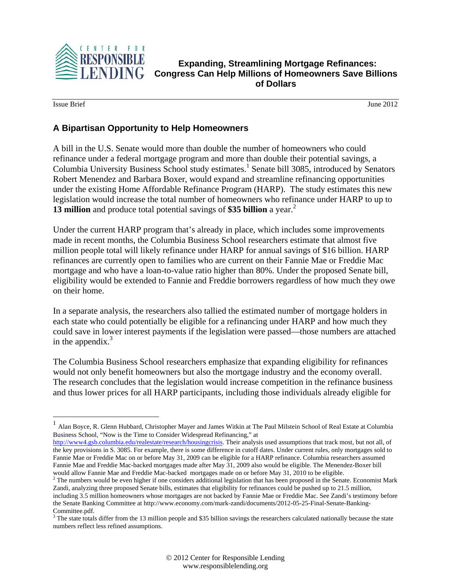

**Expanding, Streamlining Mortgage Refinances: Congress Can Help Millions of Homeowners Save Billions of Dollars** 

**Issue Brief** June 2012

 $\overline{a}$ 

## **A Bipartisan Opportunity to Help Homeowners**

A bill in the U.S. Senate would more than double the number of homeowners who could refinance under a federal mortgage program and more than double their potential savings, a Columbia University Business School study estimates.<sup>1</sup> Senate bill 3085, introduced by Senators Robert Menendez and Barbara Boxer, would expand and streamline refinancing opportunities under the existing Home Affordable Refinance Program (HARP). The study estimates this new legislation would increase the total number of homeowners who refinance under HARP to up to **13 million** and produce total potential savings of **\$35 billion** a year. 2

Under the current HARP program that's already in place, which includes some improvements made in recent months, the Columbia Business School researchers estimate that almost five million people total will likely refinance under HARP for annual savings of \$16 billion. HARP refinances are currently open to families who are current on their Fannie Mae or Freddie Mac mortgage and who have a loan-to-value ratio higher than 80%. Under the proposed Senate bill, eligibility would be extended to Fannie and Freddie borrowers regardless of how much they owe on their home.

In a separate analysis, the researchers also tallied the estimated number of mortgage holders in each state who could potentially be eligible for a refinancing under HARP and how much they could save in lower interest payments if the legislation were passed—those numbers are attached in the appendix. $3$ 

The Columbia Business School researchers emphasize that expanding eligibility for refinances would not only benefit homeowners but also the mortgage industry and the economy overall. The research concludes that the legislation would increase competition in the refinance business and thus lower prices for all HARP participants, including those individuals already eligible for

 $<sup>1</sup>$  Alan Boyce, R. Glenn Hubbard, Christopher Mayer and James Witkin at The Paul Milstein School of Real Estate at Columbia</sup> Business School, "Now is the Time to Consider Widespread Refinancing," at

http://www4.gsb.columbia.edu/realestate/research/housingcrisis. Their analysis used assumptions that track most, but not all, of the key provisions in S. 3085. For example, there is some difference in cutoff dates. Under current rules, only mortgages sold to Fannie Mae or Freddie Mac on or before May 31, 2009 can be eligible for a HARP refinance. Columbia researchers assumed Fannie Mae and Freddie Mac-backed mortgages made after May 31, 2009 also would be eligible. The Menendez-Boxer bill would allow Fannie Mae and Freddie Mac-backed mortgages made on or before May 31, 2010 to be eligible. 2

 $2$  The numbers would be even higher if one considers additional legislation that has been proposed in the Senate. Economist Mark Zandi, analyzing three proposed Senate bills, estimates that eligibility for refinances could be pushed up to 21.5 million, including 3.5 million homeowners whose mortgages are not backed by Fannie Mae or Freddie Mac. See Zandi's testimony before the Senate Banking Committee at http://www.economy.com/mark-zandi/documents/2012-05-25-Final-Senate-Banking-Committee.pdf.

 $3$  The state totals differ from the 13 million people and \$35 billion savings the researchers calculated nationally because the state numbers reflect less refined assumptions.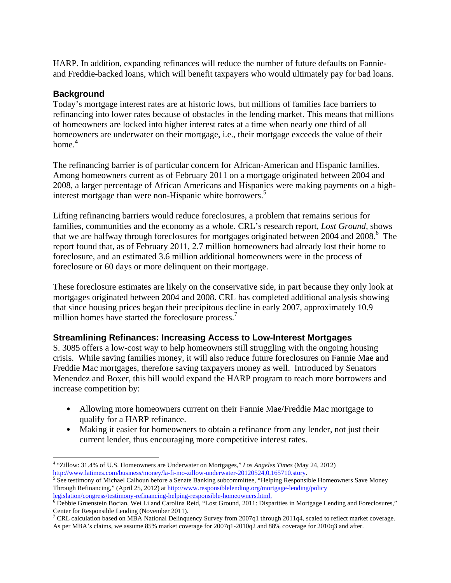HARP. In addition, expanding refinances will reduce the number of future defaults on Fannieand Freddie-backed loans, which will benefit taxpayers who would ultimately pay for bad loans.

## **Background**

Today's mortgage interest rates are at historic lows, but millions of families face barriers to refinancing into lower rates because of obstacles in the lending market. This means that millions of homeowners are locked into higher interest rates at a time when nearly one third of all homeowners are underwater on their mortgage, i.e., their mortgage exceeds the value of their home. $4$ 

The refinancing barrier is of particular concern for African-American and Hispanic families. Among homeowners current as of February 2011 on a mortgage originated between 2004 and 2008, a larger percentage of African Americans and Hispanics were making payments on a highinterest mortgage than were non-Hispanic white borrowers.<sup>5</sup>

Lifting refinancing barriers would reduce foreclosures, a problem that remains serious for families, communities and the economy as a whole. CRL's research report, *Lost Ground,* shows that we are halfway through foreclosures for mortgages originated between 2004 and 2008.<sup>6</sup> The report found that, as of February 2011, 2.7 million homeowners had already lost their home to foreclosure, and an estimated 3.6 million additional homeowners were in the process of foreclosure or 60 days or more delinquent on their mortgage.

These foreclosure estimates are likely on the conservative side, in part because they only look at mortgages originated between 2004 and 2008. CRL has completed additional analysis showing that since housing prices began their precipitous decline in early 2007, approximately 10.9 million homes have started the foreclosure process.<sup>7</sup>

#### **Streamlining Refinances: Increasing Access to Low-Interest Mortgages**

S. 3085 offers a low-cost way to help homeowners still struggling with the ongoing housing crisis. While saving families money, it will also reduce future foreclosures on Fannie Mae and Freddie Mac mortgages, therefore saving taxpayers money as well. Introduced by Senators Menendez and Boxer, this bill would expand the HARP program to reach more borrowers and increase competition by:

- Allowing more homeowners current on their Fannie Mae/Freddie Mac mortgage to qualify for a HARP refinance.
- Making it easier for homeowners to obtain a refinance from any lender, not just their current lender, thus encouraging more competitive interest rates.

 $\overline{a}$ 4 "Zillow: 31.4% of U.S. Homeowners are Underwater on Mortgages," *Los Angeles Times* (May 24, 2012) http://www.latimes.com/business/money/la-fi-mo-zillow-underwater-20120524,0,165710.story.

<sup>&</sup>lt;sup>5</sup> See testimony of Michael Calhoun before a Senate Banking subcommittee, "Helping Responsible Homeowners Save Money Through Refinancing," (April 25, 2012) at http://www.responsiblelending.org/mortgage-lending/policy

legislation/congress/testimony-refinancing-helping-responsible-homeowners.html.<br><sup>6</sup> Debbie Gruenstein Bocian, Wei Li and Carolina Reid, "Lost Ground, 2011: Disparities in Mortgage Lending and Foreclosures," Center for Responsible Lending (November 2011).<br><sup>7</sup> CRL calculation based on MBA National Delinquency Survey from 2007q1 through 2011q4, scaled to reflect market coverage.

As per MBA's claims, we assume 85% market coverage for 2007q1-2010q2 and 88% coverage for 2010q3 and after.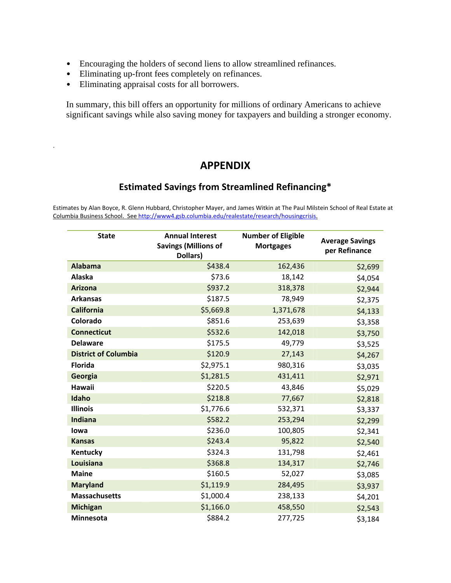- Encouraging the holders of second liens to allow streamlined refinances.
- Eliminating up-front fees completely on refinances.
- Eliminating appraisal costs for all borrowers.

.

In summary, this bill offers an opportunity for millions of ordinary Americans to achieve significant savings while also saving money for taxpayers and building a stronger economy.

# **APPENDIX**

# **Estimated Savings from Streamlined Refinancing\***

Estimates by Alan Boyce, R. Glenn Hubbard, Christopher Mayer, and James Witkin at The Paul Milstein School of Real Estate at Columbia Business School. See http://www4.gsb.columbia.edu/realestate/research/housingcrisis.

| <b>State</b>                | <b>Annual Interest</b><br><b>Savings (Millions of</b><br>Dollars) | <b>Number of Eligible</b><br><b>Mortgages</b> | <b>Average Savings</b><br>per Refinance |
|-----------------------------|-------------------------------------------------------------------|-----------------------------------------------|-----------------------------------------|
| <b>Alabama</b>              | \$438.4                                                           | 162,436                                       | \$2,699                                 |
| Alaska                      | \$73.6                                                            | 18,142                                        | \$4,054                                 |
| <b>Arizona</b>              | \$937.2                                                           | 318,378                                       | \$2,944                                 |
| <b>Arkansas</b>             | \$187.5                                                           | 78,949                                        | \$2,375                                 |
| <b>California</b>           | \$5,669.8                                                         | 1,371,678                                     | \$4,133                                 |
| Colorado                    | \$851.6                                                           | 253,639                                       | \$3,358                                 |
| <b>Connecticut</b>          | \$532.6                                                           | 142,018                                       | \$3,750                                 |
| <b>Delaware</b>             | \$175.5                                                           | 49,779                                        | \$3,525                                 |
| <b>District of Columbia</b> | \$120.9                                                           | 27,143                                        | \$4,267                                 |
| <b>Florida</b>              | \$2,975.1                                                         | 980,316                                       | \$3,035                                 |
| Georgia                     | \$1,281.5                                                         | 431,411                                       | \$2,971                                 |
| Hawaii                      | \$220.5                                                           | 43,846                                        | \$5,029                                 |
| Idaho                       | \$218.8                                                           | 77,667                                        | \$2,818                                 |
| <b>Illinois</b>             | \$1,776.6                                                         | 532,371                                       | \$3,337                                 |
| <b>Indiana</b>              | \$582.2                                                           | 253,294                                       | \$2,299                                 |
| lowa                        | \$236.0                                                           | 100,805                                       | \$2,341                                 |
| <b>Kansas</b>               | \$243.4                                                           | 95,822                                        | \$2,540                                 |
| Kentucky                    | \$324.3                                                           | 131,798                                       | \$2,461                                 |
| Louisiana                   | \$368.8                                                           | 134,317                                       | \$2,746                                 |
| <b>Maine</b>                | \$160.5                                                           | 52,027                                        | \$3,085                                 |
| <b>Maryland</b>             | \$1,119.9                                                         | 284,495                                       | \$3,937                                 |
| <b>Massachusetts</b>        | \$1,000.4                                                         | 238,133                                       | \$4,201                                 |
| <b>Michigan</b>             | \$1,166.0                                                         | 458,550                                       | \$2,543                                 |
| <b>Minnesota</b>            | \$884.2                                                           | 277,725                                       | \$3,184                                 |